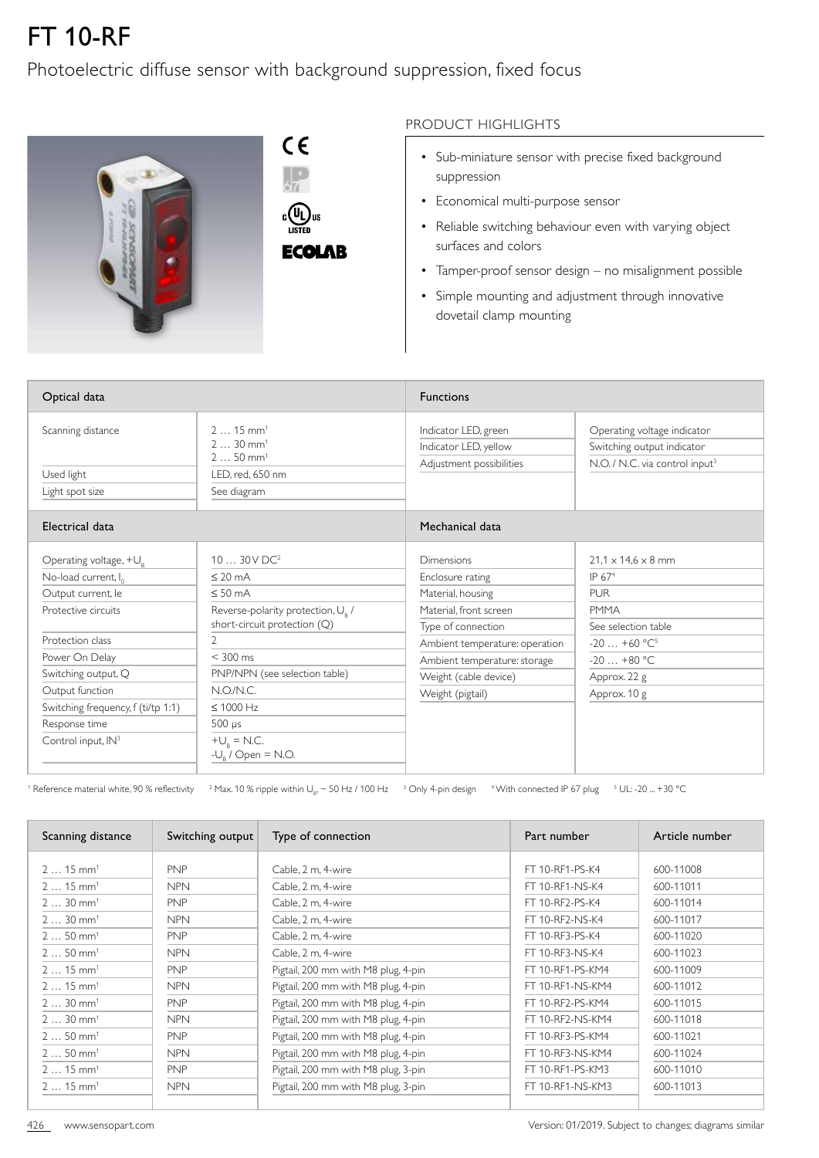## FT 10-RF

## Photoelectric diffuse sensor with background suppression, fixed focus



PRODUCT HIGHLIGHTS

- Sub-miniature sensor with precise fixed background suppression
- Economical multi-purpose sensor
- Reliable switching behaviour even with varying object surfaces and colors
- Tamper-proof sensor design no misalignment possible
- Simple mounting and adjustment through innovative dovetail clamp mounting

| Optical data                                                                                                                                                                                                                                                             |                                                                                                                                                                                                                                                                                                  | <b>Functions</b>                                                                                                                                                                                                          |                                                                                                                                                                |  |
|--------------------------------------------------------------------------------------------------------------------------------------------------------------------------------------------------------------------------------------------------------------------------|--------------------------------------------------------------------------------------------------------------------------------------------------------------------------------------------------------------------------------------------------------------------------------------------------|---------------------------------------------------------------------------------------------------------------------------------------------------------------------------------------------------------------------------|----------------------------------------------------------------------------------------------------------------------------------------------------------------|--|
| Scanning distance<br>Used light<br>Light spot size                                                                                                                                                                                                                       | $215$ mm <sup>1</sup><br>$230$ mm <sup>1</sup><br>$250$ mm <sup>1</sup><br>LED, red, 650 nm<br>See diagram                                                                                                                                                                                       | Indicator LED, green<br>Indicator LED, yellow<br>Adjustment possibilities                                                                                                                                                 | Operating voltage indicator<br>Switching output indicator<br>N.O. / N.C. via control input <sup>3</sup>                                                        |  |
| Electrical data                                                                                                                                                                                                                                                          |                                                                                                                                                                                                                                                                                                  | Mechanical data                                                                                                                                                                                                           |                                                                                                                                                                |  |
| Operating voltage, $+U_R$<br>No-load current, I <sub>0</sub><br>Output current, le<br>Protective circuits<br>Protection class<br>Power On Delay<br>Switching output, Q<br>Output function<br>Switching frequency, f (ti/tp 1:1)<br>Response time<br>Control input, $IN3$ | 1030VDC <sup>2</sup><br>$\leq 20$ mA<br>$\leq 50$ mA<br>Reverse-polarity protection, U <sub>R</sub> /<br>short-circuit protection (Q)<br>$\overline{2}$<br>$< 300$ ms<br>PNP/NPN (see selection table)<br>N.O/N.C.<br>$\leq 1000$ Hz<br>$500 \mu s$<br>$+U_{R} = N.C.$<br>$-U_{R}$ / Open = N.O. | <b>Dimensions</b><br>Enclosure rating<br>Material, housing<br>Material, front screen<br>Type of connection<br>Ambient temperature: operation<br>Ambient temperature: storage<br>Weight (cable device)<br>Weight (pigtail) | $21.1 \times 14.6 \times 8$ mm<br>IP $674$<br><b>PUR</b><br><b>PMMA</b><br>See selection table<br>$-20+60 °C^5$<br>$-20+80$ °C<br>Approx. 22 g<br>Approx. 10 g |  |

 $^1$  Reference material white, 90 % reflectivity  $^{-2}$  Max. 10 % ripple within U<sub>B</sub>,  $\sim$  50 Hz / 100 Hz  $^{-3}$  Only 4-pin design  $^{-4}$  With connected IP 67 plug  $^{-5}$  UL: -20 ... +30 °C

| Scanning distance     | Switching output | Type of connection                                      | Part number      | Article number |  |
|-----------------------|------------------|---------------------------------------------------------|------------------|----------------|--|
| $215$ mm <sup>1</sup> | <b>PNP</b>       | Cable, 2 m, 4-wire                                      | FT 10-RF1-PS-K4  | 600-11008      |  |
| $215$ mm <sup>1</sup> | <b>NPN</b>       | Cable, 2 m, 4-wire                                      | FT 10-RF1-NS-K4  | 600-11011      |  |
| $230$ mm <sup>1</sup> | <b>PNP</b>       | Cable, 2 m, 4-wire                                      | FT 10-RF2-PS-K4  | 600-11014      |  |
| $230$ mm <sup>1</sup> | <b>NPN</b>       | Cable, 2 m, 4-wire                                      | FT 10-RF2-NS-K4  | 600-11017      |  |
| $250$ mm <sup>1</sup> | <b>PNP</b>       | Cable, 2 m, 4-wire                                      | FT 10-RF3-PS-K4  | 600-11020      |  |
| $250$ mm <sup>1</sup> | <b>NPN</b>       | Cable, 2 m, 4-wire                                      | FT 10-RF3-NS-K4  | 600-11023      |  |
| $215$ mm <sup>1</sup> | <b>PNP</b>       | Pigtail, 200 mm with M8 plug, 4-pin                     | FT 10-RF1-PS-KM4 | 600-11009      |  |
| $215$ mm <sup>1</sup> | <b>NPN</b>       | Pigtail, 200 mm with M8 plug, 4-pin                     | FT 10-RF1-NS-KM4 | 600-11012      |  |
| $230$ mm <sup>1</sup> | <b>PNP</b>       | FT 10-RF2-PS-KM4<br>Pigtail, 200 mm with M8 plug, 4-pin |                  | 600-11015      |  |
| $230$ mm <sup>1</sup> | <b>NPN</b>       | Pigtail, 200 mm with M8 plug, 4-pin                     | FT 10-RF2-NS-KM4 | 600-11018      |  |
| $250$ mm <sup>1</sup> | <b>PNP</b>       | Pigtail, 200 mm with M8 plug, 4-pin                     | FT 10-RF3-PS-KM4 | 600-11021      |  |
| $250$ mm <sup>1</sup> | <b>NPN</b>       | Pigtail, 200 mm with M8 plug, 4-pin                     | FT 10-RF3-NS-KM4 | 600-11024      |  |
| $215$ mm <sup>1</sup> | <b>PNP</b>       | Pigtail, 200 mm with M8 plug, 3-pin                     | FT 10-RF1-PS-KM3 | 600-11010      |  |
| $215$ mm <sup>1</sup> | <b>NPN</b>       | Pigtail, 200 mm with M8 plug, 3-pin                     | FT 10-RF1-NS-KM3 | 600-11013      |  |